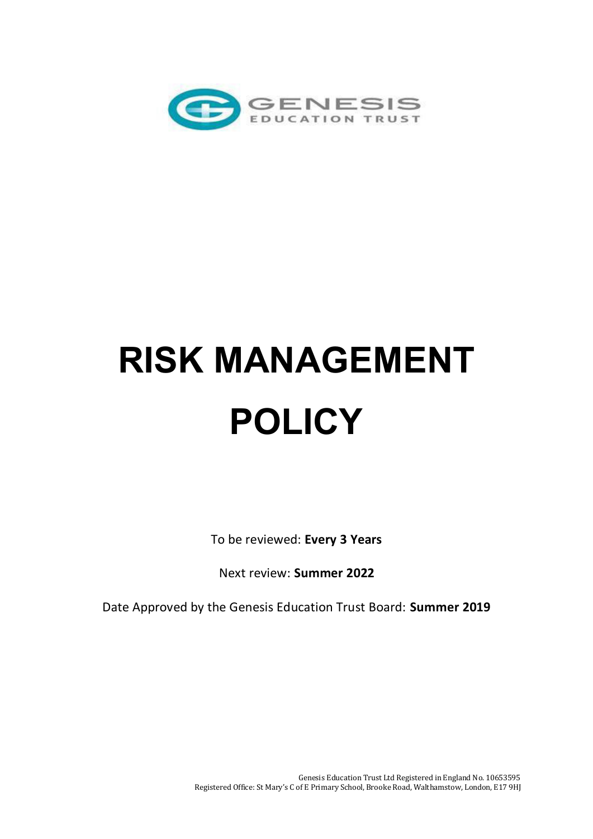

# **RISK MANAGEMENT POLICY**

To be reviewed: **Every 3 Years** 

Next review: **Summer 2022** 

Date Approved by the Genesis Education Trust Board: **Summer 2019**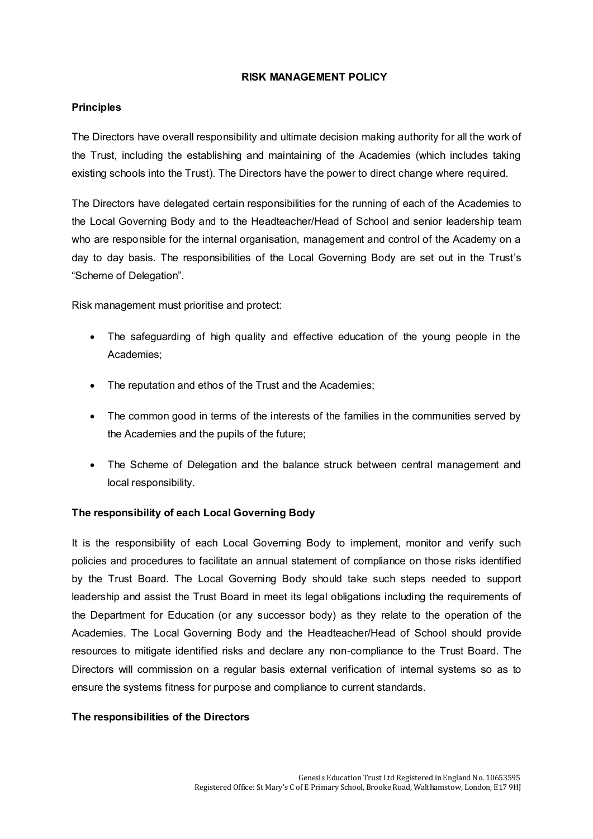### **RISK MANAGEMENT POLICY**

# **Principles**

The Directors have overall responsibility and ultimate decision making authority for all the work of the Trust, including the establishing and maintaining of the Academies (which includes taking existing schools into the Trust). The Directors have the power to direct change where required.

The Directors have delegated certain responsibilities for the running of each of the Academies to the Local Governing Body and to the Headteacher/Head of School and senior leadership team who are responsible for the internal organisation, management and control of the Academy on a day to day basis. The responsibilities of the Local Governing Body are set out in the Trust's "Scheme of Delegation".

Risk management must prioritise and protect:

- The safeguarding of high quality and effective education of the young people in the Academies;
- The reputation and ethos of the Trust and the Academies;
- The common good in terms of the interests of the families in the communities served by the Academies and the pupils of the future;
- The Scheme of Delegation and the balance struck between central management and local responsibility.

# **The responsibility of each Local Governing Body**

It is the responsibility of each Local Governing Body to implement, monitor and verify such policies and procedures to facilitate an annual statement of compliance on those risks identified by the Trust Board. The Local Governing Body should take such steps needed to support leadership and assist the Trust Board in meet its legal obligations including the requirements of the Department for Education (or any successor body) as they relate to the operation of the Academies. The Local Governing Body and the Headteacher/Head of School should provide resources to mitigate identified risks and declare any non-compliance to the Trust Board. The Directors will commission on a regular basis external verification of internal systems so as to ensure the systems fitness for purpose and compliance to current standards.

## **The responsibilities of the Directors**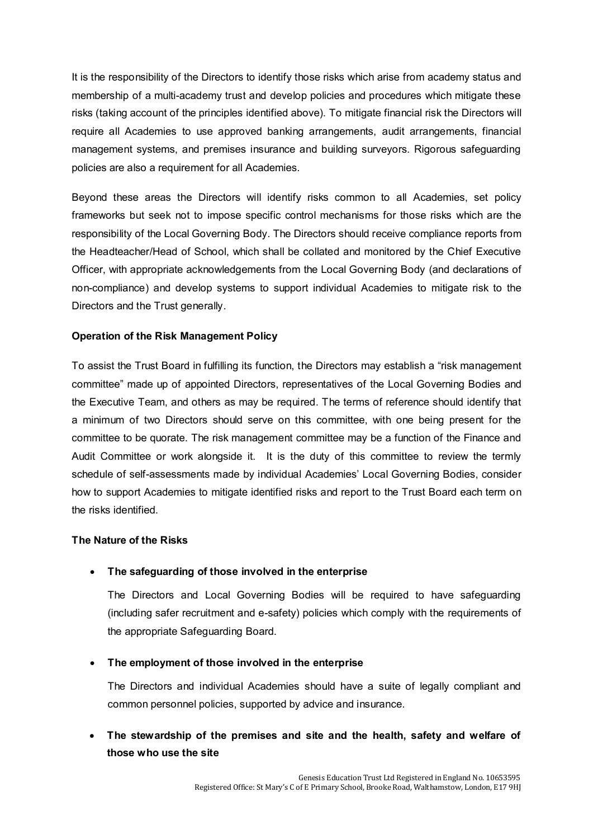It is the responsibility of the Directors to identify those risks which arise from academy status and membership of a multi-academy trust and develop policies and procedures which mitigate these risks (taking account of the principles identified above). To mitigate financial risk the Directors will require all Academies to use approved banking arrangements, audit arrangements, financial management systems, and premises insurance and building surveyors. Rigorous safeguarding policies are also a requirement for all Academies.

Beyond these areas the Directors will identify risks common to all Academies, set policy frameworks but seek not to impose specific control mechanisms for those risks which are the responsibility of the Local Governing Body. The Directors should receive compliance reports from the Headteacher/Head of School, which shall be collated and monitored by the Chief Executive Officer, with appropriate acknowledgements from the Local Governing Body (and declarations of non-compliance) and develop systems to support individual Academies to mitigate risk to the Directors and the Trust generally.

# **Operation of the Risk Management Policy**

To assist the Trust Board in fulfilling its function, the Directors may establish a "risk management committee" made up of appointed Directors, representatives of the Local Governing Bodies and the Executive Team, and others as may be required. The terms of reference should identify that a minimum of two Directors should serve on this committee, with one being present for the committee to be quorate. The risk management committee may be a function of the Finance and Audit Committee or work alongside it. It is the duty of this committee to review the termly schedule of self-assessments made by individual Academies' Local Governing Bodies, consider how to support Academies to mitigate identified risks and report to the Trust Board each term on the risks identified.

## **The Nature of the Risks**

# **The safeguarding of those involved in the enterprise**

 The Directors and Local Governing Bodies will be required to have safeguarding (including safer recruitment and e-safety) policies which comply with the requirements of the appropriate Safeguarding Board.

## **The employment of those involved in the enterprise**

The Directors and individual Academies should have a suite of legally compliant and common personnel policies, supported by advice and insurance.

# **The stewardship of the premises and site and the health, safety and welfare of those who use the site**